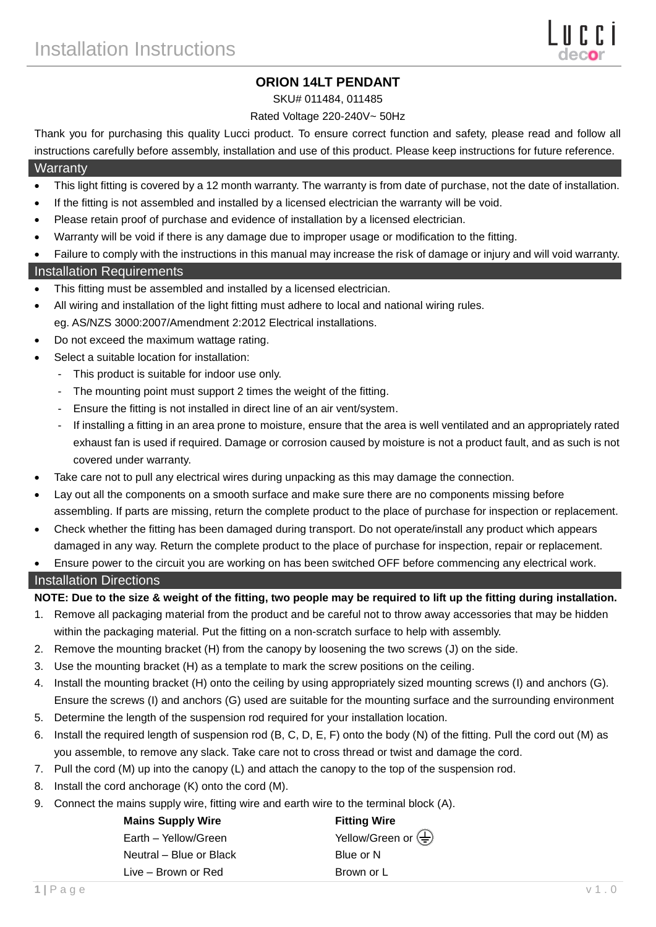# **ORION 14LT PENDANT**

#### SKU# 011484, 011485

### Rated Voltage 220-240V~ 50Hz

Thank you for purchasing this quality Lucci product. To ensure correct function and safety, please read and follow all instructions carefully before assembly, installation and use of this product. Please keep instructions for future reference.

## **Warranty**

- This light fitting is covered by a 12 month warranty. The warranty is from date of purchase, not the date of installation.
- If the fitting is not assembled and installed by a licensed electrician the warranty will be void.
- Please retain proof of purchase and evidence of installation by a licensed electrician.
- Warranty will be void if there is any damage due to improper usage or modification to the fitting.
- Failure to comply with the instructions in this manual may increase the risk of damage or injury and will void warranty.

### Installation Requirements

- This fitting must be assembled and installed by a licensed electrician.
- All wiring and installation of the light fitting must adhere to local and national wiring rules. eg. AS/NZS 3000:2007/Amendment 2:2012 Electrical installations.
- Do not exceed the maximum wattage rating.
- Select a suitable location for installation:
	- This product is suitable for indoor use only.
	- The mounting point must support 2 times the weight of the fitting.
	- Ensure the fitting is not installed in direct line of an air vent/system.
	- If installing a fitting in an area prone to moisture, ensure that the area is well ventilated and an appropriately rated exhaust fan is used if required. Damage or corrosion caused by moisture is not a product fault, and as such is not covered under warranty.
- Take care not to pull any electrical wires during unpacking as this may damage the connection.
- Lay out all the components on a smooth surface and make sure there are no components missing before assembling. If parts are missing, return the complete product to the place of purchase for inspection or replacement.
- Check whether the fitting has been damaged during transport. Do not operate/install any product which appears damaged in any way. Return the complete product to the place of purchase for inspection, repair or replacement.
- Ensure power to the circuit you are working on has been switched OFF before commencing any electrical work.

### Installation Directions

**NOTE: Due to the size & weight of the fitting, two people may be required to lift up the fitting during installation.**

- 1. Remove all packaging material from the product and be careful not to throw away accessories that may be hidden within the packaging material. Put the fitting on a non-scratch surface to help with assembly.
- 2. Remove the mounting bracket (H) from the canopy by loosening the two screws (J) on the side.
- 3. Use the mounting bracket (H) as a template to mark the screw positions on the ceiling.
- 4. Install the mounting bracket (H) onto the ceiling by using appropriately sized mounting screws (I) and anchors (G). Ensure the screws (I) and anchors (G) used are suitable for the mounting surface and the surrounding environment
- 5. Determine the length of the suspension rod required for your installation location.
- 6. Install the required length of suspension rod (B, C, D, E, F) onto the body (N) of the fitting. Pull the cord out (M) as you assemble, to remove any slack. Take care not to cross thread or twist and damage the cord.
- 7. Pull the cord (M) up into the canopy (L) and attach the canopy to the top of the suspension rod.
- 8. Install the cord anchorage (K) onto the cord (M).
- 9. Connect the mains supply wire, fitting wire and earth wire to the terminal block (A).

| <b>Mains Supply Wire</b> | <b>Fitting Wire</b>                                        |
|--------------------------|------------------------------------------------------------|
| Earth - Yellow/Green     | Yellow/Green or $\left(\frac{\Gamma}{\overline{z}}\right)$ |
| Neutral – Blue or Black  | Blue or N                                                  |
| Live – Brown or Red      | Brown or L                                                 |